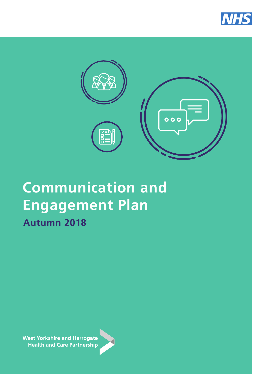



# **Communication and Engagement Plan Autumn 2018**

**West Yorkshire and Harrogate Health and Care Partnership** 

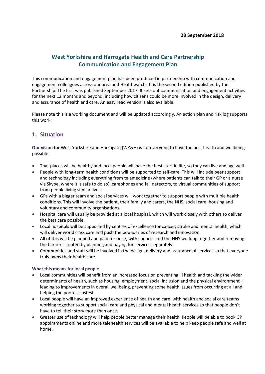# **West Yorkshire and Harrogate Health and Care Partnership Communication and Engagement Plan**

This communication and engagement plan has been produced in partnership with communication and engagement colleagues across our area and Healthwatch. It is the second edition published by the Partnership. The first was published September 2017. It sets out communication and engagement activities for the next 12 months and beyond, including how citizens could be more involved in the design, delivery and assurance of health and care. An easy read version is also available.

Please note this is a working document and will be updated accordingly. An action plan and risk log supports this work.

# **1. Situation**

**Our vision** for West Yorkshire and Harrogate (WY&H) is for everyone to have the best health and wellbeing possible:

- That places will be healthy and local people will have the best start in life, so they can live and age well.
- People with long-term health conditions will be supported to self-care. This will include peer support and technology including everything from telemedicine (where patients can talk to their GP or a nurse via Skype, where it is safe to do so), carephones and fall detectors, to virtual communities of support from people living similar lives.
- GPs with a bigger team and social services will work together to support people with multiple health conditions. This will involve the patient, their family and carers, the NHS, social care, housing and voluntary and community organisations.
- Hospital care will usually be provided at a local hospital, which will work closely with others to deliver the best care possible.
- Local hospitals will be supported by centres of excellence for cancer, stroke and mental health, which will deliver world class care and push the boundaries of research and innovation.
- All of this will be planned and paid for once, with councils and the NHS working together and removing the barriers created by planning and paying for services separately.
- Communities and staff will be involved in the design, delivery and assurance of services so that everyone truly owns their health care.

## **What this means for local people**

- Local communities will benefit from an increased focus on preventing ill health and tackling the wider determinants of health, such as housing, employment, social inclusion and the physical environment – leading to improvements in overall wellbeing, preventing some health issues from occurring at all and helping the poorest fastest.
- Local people will have an improved experience of health and care, with health and social care teams working together to support social care and physical and mental health services so that people don't have to tell their story more than once.
- Greater use of technology will help people better manage their health. People will be able to book GP appointments online and more telehealth services will be available to help keep people safe and well at home.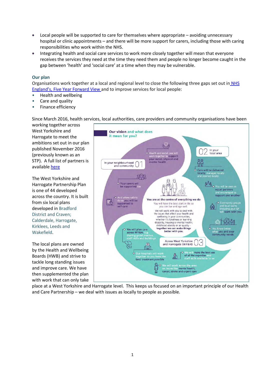- Local people will be supported to care for themselves where appropriate avoiding unnecessary hospital or clinic appointments – and there will be more support for carers, including those with caring responsibilities who work within the NHS.
- Integrating health and social care services to work more closely together will mean that everyone receives the services they need at the time they need them and people no longer become caught in the gap between 'health' and 'social care' at a time when they may be vulnerable.

## **Our plan**

Organisations work together at a local and regional level to close the following three gaps set out in [NHS](https://www.england.nhs.uk/wp-content/uploads/2014/10/5yfv-web.pdf)  [England's, Five Year Forward View a](https://www.england.nhs.uk/wp-content/uploads/2014/10/5yfv-web.pdf)nd to improve services for local people:

- Health and wellbeing
- Care and quality
- Finance efficiency

Since March 2016, health services, local authorities, care providers and community organisations have been

working together across West Yorkshire and Harrogate to meet the ambitions set out in our plan published November 2016 (previously known as an STP). A full list of partners is available [here](https://www.wyhpartnership.co.uk/about/our-partners) 

The West Yorkshire and Harrogate Partnership Plan is one of 44 developed across the country. It is built from six local plans developed in Bradford District and Craven; Calderdale, Harrogate, Kirklees, Leeds and Wakefield.

The local plans are owned by the Health and Wellbeing Boards (HWB) and strive to tackle long standing issues and improve care. We have then supplemented the plan with work that can only take



place at a West Yorkshire and Harrogate level. This keeps us focused on an important principle of our Health and Care Partnership – we deal with issues as locally to people as possible.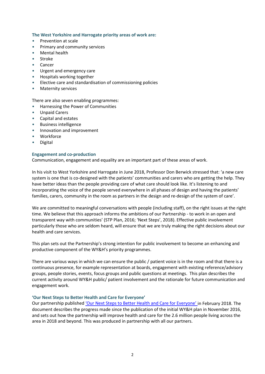#### **The West Yorkshire and Harrogate priority areas of work are:**

- Prevention at scale
- Primary and community services
- Mental health
- Stroke
- Cancer
- Urgent and emergency care
- Hospitals working together
- Elective care and standardisation of commissioning policies
- Maternity services

There are also seven enabling programmes:

- Harnessing the Power of Communities
- Unpaid Carers
- Capital and estates
- Business intelligence
- Innovation and improvement
- Workforce
- Digital

#### **Engagement and co-production**

Communication, engagement and equality are an important part of these areas of work.

In his visit to West Yorkshire and Harrogate in June 2018, Professor Don Berwick stressed that: 'a new care system is one that is co-designed with the patients' communities and carers who are getting the help. They have better ideas than the people providing care of what care should look like. It's listening to and incorporating the voice of the people served everywhere in all phases of design and having the patients' families, carers, community in the room as partners in the design and re-design of the system of care'.

We are committed to meaningful conversations with people (including staff), on the right issues at the right time. We believe that this approach informs the ambitions of our Partnership - to work in an open and transparent way with communities' (STP Plan, 2016; 'Next Steps', 2018). Effective public involvement particularly those who are seldom heard, will ensure that we are truly making the right decisions about our health and care services.

This plan sets out the Partnership's strong intention for public involvement to become an enhancing and productive component of the WY&H's priority programmes.

There are various ways in which we can ensure the public / patient voice is in the room and that there is a continuous presence, for example representation at boards, engagement with existing reference/advisory groups, people stories, events, focus groups and public questions at meetings. This plan describes the current activity around WY&H public/ patient involvement and the rationale for future communication and engagement work.

## **'Our Next Steps to Better Health and Care for Everyone'**

Our partnership published ['Our Next Steps to Better Health and Care for Everyone'](http://www.wyhpartnership.co.uk/next-steps) in February 2018. The document describes the progress made since the publication of the initial WY&H plan in November 2016, and sets out how the partnership will improve health and care for the 2.6 million people living across the area in 2018 and beyond. This was produced in partnership with all our partners.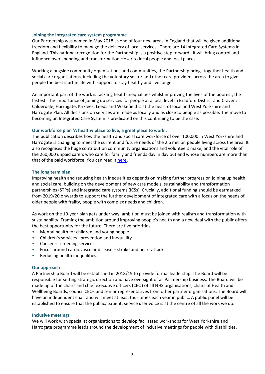#### **Joining the integrated care system programme**

Our Partnership was named in May 2018 as one of four new areas in England that will be given additional freedom and flexibility to manage the delivery of local services. There are 14 Integrated Care Systems in England. This national recognition for the Partnership is a positive step forward. It will bring control and influence over spending and transformation closer to local people and local places.

Working alongside community organisations and communities, the Partnership brings together health and social care organisations, including the voluntary sector and other care providers across the area to give people the best start in life with support to stay healthy and live longer.

An important part of the work is tackling health inequalities whilst improving the lives of the poorest, the fastest. The importance of joining up services for people at a local level in Bradford District and Craven; Calderdale, Harrogate, Kirklees, Leeds and Wakefield is at the heart of local and West Yorkshire and Harrogate Plan. All decisions on services are made as locally and as close to people as possible. The move to becoming an Integrated Care System is predicated on this continuing to be the case.

#### **Our workforce plan 'A healthy place to live, a great place to work'.**

The publication describes how the health and social care workforce of over 100,000 in West Yorkshire and Harrogate is changing to meet the current and future needs of the 2.6 million people living across the area. It also recognises the huge contribution community organisations and volunteers make; and the vital role of the 260,000 unpaid carers who care for family and friends day in day out and whose numbers are more than that of the paid workforce. You can read it [here.](https://www.wyhpartnership.co.uk/our-workforce-strategy)

#### **The long term plan**

Improving health and reducing health inequalities depends on making further progress on joining up health and social care, building on the development of new care models, sustainability and transformation partnerships (STPs) and integrated care systems (ICSs). Crucially, additional funding should be earmarked from 2019/20 onwards to support the further development of integrated care with a focus on the needs of older people with frailty, people with complex needs and children.

As work on the 10-year plan gets under way, ambition must be joined with realism and transformation with sustainability. Framing the ambition around improving people's health and a new deal with the public offers the best opportunity for the future. There are five priorities:

- Mental health for children and young people.
- Children's services prevention and inequality.
- Cancer screening services.
- Focus around cardiovascular disease stroke and heart attacks.
- Reducing health inequalities.

#### **Our approach**

A Partnership Board will be established in 2018/19 to provide formal leadership. The Board will be responsible for setting strategic direction and have oversight of all Partnership business. The Board will be made up of the chairs and chief executive officers (CEO) of all NHS organisations, chairs of Health and Wellbeing Boards, council CEOs and senior representatives from other partner organisations. The Board will have an independent chair and will meet at least four times each year in public. A public panel will be established to ensure that the public, patient, service user voice is at the centre of all the work we do.

#### **Inclusive meetings**

We will work with specialist organisations to develop facilitated workshops for West Yorkshire and Harrogate programme leads around the development of inclusive meetings for people with disabilities.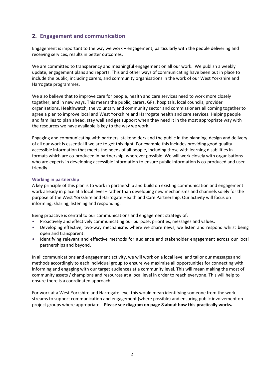# **2. Engagement and communication**

Engagement is important to the way we work – engagement, particularly with the people delivering and receiving services, results in better outcomes.

We are committed to transparency and meaningful engagement on all our work. We publish a weekly update, engagement plans and reports. This and other ways of communicating have been put in place to include the public, including carers, and community organisations in the work of our West Yorkshire and Harrogate programmes.

We also believe that to improve care for people, health and care services need to work more closely together, and in new ways. This means the public, carers, GPs, hospitals, local councils, provider organisations, Healthwatch, the voluntary and community sector and commissioners all coming together to agree a plan to improve local and West Yorkshire and Harrogate health and care services. Helping people and families to plan ahead, stay well and get support when they need it in the most appropriate way with the resources we have available is key to the way we work.

Engaging and communicating with partners, stakeholders and the public in the planning, design and delivery of all our work is essential if we are to get this right. For example this includes providing good quality accessible information that meets the needs of all people, including those with learning disabilities in formats which are co-produced in partnership, wherever possible. We will work closely with organisations who are experts in developing accessible information to ensure public information is co-produced and user friendly.

# **Working in partnership**

A key principle of this plan is to work in partnership and build on existing communication and engagement work already in place at a local level – rather than developing new mechanisms and channels solely for the purpose of the West Yorkshire and Harrogate Health and Care Partnership. Our activity will focus on informing, sharing, listening and responding.

Being proactive is central to our communications and engagement strategy of:

- Proactively and effectively communicating our purpose, priorities, messages and values.
- Developing effective, two-way mechanisms where we share news, we listen and respond whilst being open and transparent.
- Identifying relevant and effective methods for audience and stakeholder engagement across our local partnerships and beyond.

In all communications and engagement activity, we will work on a local level and tailor our messages and methods accordingly to each individual group to ensure we maximise all opportunities for connecting with, informing and engaging with our target audiences at a community level. This will mean making the most of community assets / champions and resources at a local level in order to reach everyone. This will help to ensure there is a coordinated approach.

For work at a West Yorkshire and Harrogate level this would mean identifying someone from the work streams to support communication and engagement (where possible) and ensuring public involvement on project groups where appropriate. **Please see diagram on page 8 about how this practically works.**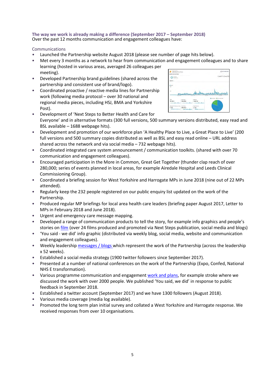#### **The way we work is already making a difference (September 2017 – September 2018)** Over the past 12 months communication and engagement colleagues have:

## Communications

- Launched the Partnership website August 2018 (please see number of page hits below).
- Met every 3 months as a network to hear from communication and engagement colleagues and to share learning (hosted in various areas, averaged 26 colleagues per meeting).
- Developed Partnership brand guidelines (shared across the partnership and consistent use of brand/logo).
- Coordinated proactive / reactive media lines for Partnership work (following media protocol – over 30 national and regional media pieces, including HSJ, BMA and Yorkshire Post).

| diaroe Dyenies   |                          |                   |                                |
|------------------|--------------------------|-------------------|--------------------------------|
| $-22.49893$<br>o |                          |                   | 1 kug 2017 - 35 Aug 2013       |
| --               |                          |                   |                                |
|                  |                          |                   |                                |
|                  |                          |                   |                                |
|                  |                          |                   |                                |
|                  |                          |                   |                                |
| es.              |                          |                   |                                |
|                  | Krawkhnum<br>Total Print | Jacket 32 of      | wwww<br>ALC UP<br>ALC BYE      |
| sies.            | Red Lieve                | <b>None or</b>    | <b>Blue tons Blancad tran-</b> |
| 10,301           | 10,428                   | 18,814            |                                |
| <b>Gentland</b>  | February                 | <b>NONTRIVIAL</b> |                                |

- Development of 'Next Steps to Better Health and Care for Everyone' and in alternative formats (300 full versions, 500 summary versions distributed, easy read and BSL available – 1688 webpage hits).
- Development and promotion of our workforce plan 'A Healthy Place to Live, a Great Place to Live' (200 full versions and 500 summary copies distributed as well as BSL and easy read online – URL address shared across the network and via social media – 732 webpage hits).
- Coordinated integrated care system announcement / communication toolkits. (shared with over 70 communication and engagement colleagues).
- Encouraged participation in the More in Common, Great Get Together (thunder clap reach of over 280,000; series of events planned in local areas, for example Airedale Hospital and Leeds Clinical Commissioning Group).
- Coordinated a briefing session for West Yorkshire and Harrogate MPs in June 2018 (nine out of 22 MPs attended).
- Regularly keep the 232 people registered on our public enquiry list updated on the work of the Partnership.
- Produced regular MP briefings for local area health care leaders (briefing paper August 2017, Letter to MPs in February 2018 and June 2018).
- Urgent and emergency care message mapping.
- Developed a range of communication products to tell the story, for example info graphics and people's stories on [film](https://www.youtube.com/results?search_query=west+yorkshire+and+harrogate+health+and+care+partnership) (over 24 films produced and promoted via Next Steps publication, social media and blogs)
- 'You said we did' info graphic (distributed via weekly blog, social media, website and communication and engagement colleagues).
- Weekly leadership [messages / blogs w](http://www.wyhpartnership.co.uk/blog)hich represent the work of the Partnership (across the leadership x 52 weeks).
- Established a social media strategy (1900 twitter followers since September 2017).
- Presented at a number of national conferences on the work of the Partnership (Expo, Confed, National NHS E transformation).
- Various programme communication and engagemen[t work and plans,](https://www.wyhpartnership.co.uk/get-involved) for example stroke where we discussed the work with over 2000 people. We published 'You said, we did' in response to public feedback in September 2018.
- Established a twitter account (September 2017) and we have 1300 followers (August 2018).
- Various media coverage (media log available).
- Promoted the long term plan initial survey and collated a West Yorkshire and Harrogate response. We received responses from over 10 organisations.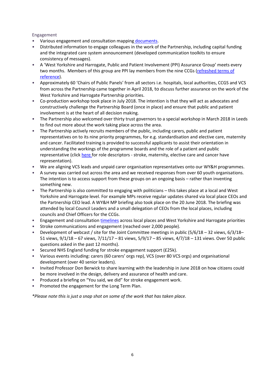## Engagement

- Various engagement and consultation mapping [documents.](https://www.wyhpartnership.co.uk/get-involved/engagement)
- Distributed information to engage colleagues in the work of the Partnership, including capital funding and the integrated care system announcement (developed communication toolkits to ensure consistency of messages).
- A 'West Yorkshire and Harrogate, Public and Patient Involvement (PPI) Assurance Group' meets every two months. Members of this group are PPI lay members from the nine CCGs [\(refreshed terms of](https://www.wyhpartnership.co.uk/application/files/4115/0176/1624/WYandH_STP_Lay_Member_ToR_-_Version_2.0.pdf)  [reference\)](https://www.wyhpartnership.co.uk/application/files/4115/0176/1624/WYandH_STP_Lay_Member_ToR_-_Version_2.0.pdf).
- Approximately 60 'Chairs of Public Panels' from all sectors i.e. hospitals, local authorities, CCGS and VCS from across the Partnership came together in April 2018, to discuss further assurance on the work of the West Yorkshire and Harrogate Partnership priorities.
- Co-production workshop took place in July 2018. The intention is that they will act as advocates and constructively challenge the Partnership Board (once in place) and ensure that public and patient involvement is at the heart of all decision making.
- The Partnership also welcomed over thirty trust governors to a special workshop in March 2018 in Leeds to find out more about the work taking place across the area.
- The Partnership actively recruits members of the public, including carers, public and patient representatives on to its nine priority programmes, for e.g. standardisation and elective care, maternity and cancer. Facilitated training is provided to successful applicants to assist their orientation in understanding the workings of the programme boards and the role of a patient and public representative (click [here f](https://www.wyhpartnership.co.uk/application/files/8615/1075/9418/PP_rep_role_description.pdf)or role descriptors - stroke, maternity, elective care and cancer have representation).
- We are aligning VCS leads and unpaid carer organisation representatives onto our WY&H programmes.
- A survey was carried out across the area and we received responses from over 60 youth organisations. The intention is to access support from these groups on an ongoing basis – rather than inventing something new.
- The Partnership is also committed to engaging with politicians this takes place at a local and West Yorkshire and Harrogate level. For example MPs receive regular updates shared via local place CEOs and the Partnership CEO lead. A WY&H MP briefing also took place on the 20 June 2018. The briefing was attended by local Council Leaders and a small delegation of CEOs from the local places, including councils and Chief Officers for the CCGs.
- Engagement and consultation *timelines* across local places and West Yorkshire and Harrogate priorities
- Stroke communications and engagement (reached over 2,000 people).
- Development of webcast / site for the Joint Committee meetings in public (5/6/18 32 views, 6/3/18– 51 views, 9/1/18 – 67 views, 7/11/17 – 81 views, 5/9/17 – 85 views, 4/7/18 – 131 views. Over 50 public questions asked in the past 12 months).
- Secured NHS England funding for stroke engagement support (£25k).
- Various events including: carers (60 carers' orgs rep), VCS (over 80 VCS orgs) and organisational development (over 40 senior leaders).
- Invited Professor Don Berwick to share learning with the leadership in June 2018 on how citizens could be more involved in the design, delivery and assurance of health and care.
- Produced a briefing on "You said, we did" for stroke engagement work.
- Promoted the engagement for the Long Term Plan.

*\*Please note this is just a snap shot on some of the work that has taken place.*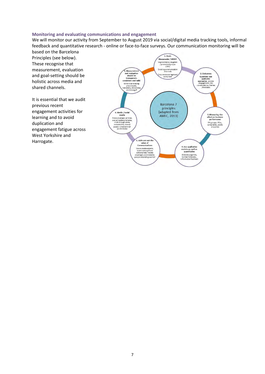#### **Monitoring and evaluating communications and engagement**

We will monitor our activity from September to August 2019 via social/digital media tracking tools, informal feedback and quantitative research - online or face-to-face surveys. Our communication monitoring will be based on the Barcelona

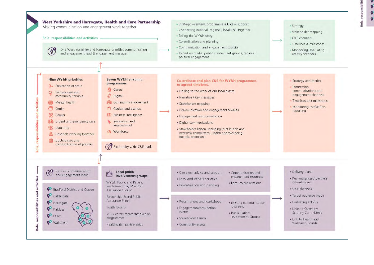$\bullet$ 

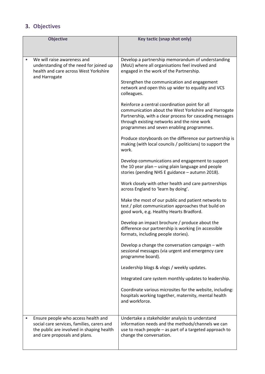# **3. Objectives**

| <b>Objective</b>                                                                                                                                                | <b>Key tactic (snap shot only)</b>                                                                                                                                                                                                                             |  |
|-----------------------------------------------------------------------------------------------------------------------------------------------------------------|----------------------------------------------------------------------------------------------------------------------------------------------------------------------------------------------------------------------------------------------------------------|--|
|                                                                                                                                                                 |                                                                                                                                                                                                                                                                |  |
| We will raise awareness and<br>understanding of the need for joined up                                                                                          | Develop a partnership memorandum of understanding<br>(MoU) where all organisations feel involved and                                                                                                                                                           |  |
| health and care across West Yorkshire<br>and Harrogate                                                                                                          | engaged in the work of the Partnership.<br>Strengthen the communication and engagement                                                                                                                                                                         |  |
|                                                                                                                                                                 | network and open this up wider to equality and VCS<br>colleagues.                                                                                                                                                                                              |  |
|                                                                                                                                                                 | Reinforce a central coordination point for all<br>communication about the West Yorkshire and Harrogate<br>Partnership, with a clear process for cascading messages<br>through existing networks and the nine work<br>programmes and seven enabling programmes. |  |
|                                                                                                                                                                 | Produce storyboards on the difference our partnership is<br>making (with local councils / politicians) to support the<br>work.                                                                                                                                 |  |
|                                                                                                                                                                 | Develop communications and engagement to support<br>the 10 year plan - using plain language and people<br>stories (pending NHS E guidance - autumn 2018).                                                                                                      |  |
|                                                                                                                                                                 | Work closely with other health and care partnerships<br>across England to 'learn by doing'.                                                                                                                                                                    |  |
|                                                                                                                                                                 | Make the most of our public and patient networks to<br>test / pilot communication approaches that build on<br>good work, e.g. Healthy Hearts Bradford.                                                                                                         |  |
|                                                                                                                                                                 | Develop an impact brochure / produce about the<br>difference our partnership is working (in accessible<br>formats, including people stories).                                                                                                                  |  |
|                                                                                                                                                                 | Develop a change the conversation campaign - with<br>sessional messages (via urgent and emergency care<br>programme board).                                                                                                                                    |  |
|                                                                                                                                                                 | Leadership blogs & vlogs / weekly updates.                                                                                                                                                                                                                     |  |
|                                                                                                                                                                 | Integrated care system monthly updates to leadership.                                                                                                                                                                                                          |  |
|                                                                                                                                                                 | Coordinate various microsites for the website, including:<br>hospitals working together, maternity, mental health<br>and workforce.                                                                                                                            |  |
| Ensure people who access health and<br>social care services, families, carers and<br>the public are involved in shaping health<br>and care proposals and plans. | Undertake a stakeholder analysis to understand<br>information needs and the methods/channels we can<br>use to reach people - as part of a targeted approach to<br>change the conversation.                                                                     |  |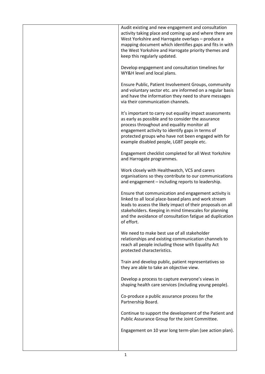| Audit existing and new engagement and consultation<br>activity taking place and coming up and where there are<br>West Yorkshire and Harrogate overlaps - produce a<br>mapping document which identifies gaps and fits in with<br>the West Yorkshire and Harrogate priority themes and<br>keep this regularly updated. |
|-----------------------------------------------------------------------------------------------------------------------------------------------------------------------------------------------------------------------------------------------------------------------------------------------------------------------|
| Develop engagement and consultation timelines for<br>WY&H level and local plans.                                                                                                                                                                                                                                      |
| Ensure Public, Patient Involvement Groups, community<br>and voluntary sector etc. are informed on a regular basis<br>and have the information they need to share messages<br>via their communication channels.                                                                                                        |
| It's important to carry out equality impact assessments<br>as early as possible and to consider the assurance<br>process throughout and equality monitor all<br>engagement activity to identify gaps in terms of<br>protected groups who have not been engaged with for<br>example disabled people, LGBT people etc.  |
| Engagement checklist completed for all West Yorkshire<br>and Harrogate programmes.                                                                                                                                                                                                                                    |
| Work closely with Healthwatch, VCS and carers<br>organisations so they contribute to our communications<br>and engagement - including reports to leadership.                                                                                                                                                          |
| Ensure that communication and engagement activity is<br>linked to all local place-based plans and work stream<br>leads to assess the likely impact of their proposals on all<br>stakeholders. Keeping in mind timescales for planning<br>and the avoidance of consultation fatigue ad duplication<br>of effort.       |
| We need to make best use of all stakeholder<br>relationships and existing communication channels to<br>reach all people including those with Equality Act<br>protected characteristics.                                                                                                                               |
| Train and develop public, patient representatives so<br>they are able to take an objective view.                                                                                                                                                                                                                      |
| Develop a process to capture everyone's views in<br>shaping health care services (including young people).                                                                                                                                                                                                            |
| Co-produce a public assurance process for the<br>Partnership Board.                                                                                                                                                                                                                                                   |
| Continue to support the development of the Patient and<br>Public Assurance Group for the Joint Committee.                                                                                                                                                                                                             |
| Engagement on 10 year long term-plan (see action plan).                                                                                                                                                                                                                                                               |
|                                                                                                                                                                                                                                                                                                                       |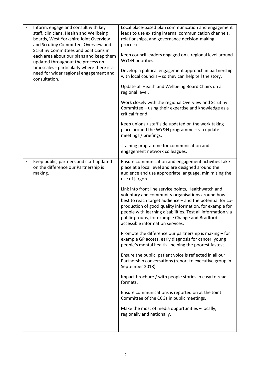| $\bullet$ | Inform, engage and consult with key<br>staff, clinicians, Health and Wellbeing<br>boards, West Yorkshire Joint Overview<br>and Scrutiny Committee, Overview and<br>Scrutiny Committees and politicians in<br>each area about our plans and keep them<br>updated throughout the process on<br>timescales - particularly where there is a<br>need for wider regional engagement and<br>consultation. | Local place-based plan communication and engagement<br>leads to use existing internal communication channels,<br>relationships, and governance decision-making<br>processes.<br>Keep council leaders engaged on a regional level around<br>WY&H priorities.<br>Develop a political engagement approach in partnership<br>with local councils - so they can help tell the story.<br>Update all Health and Wellbeing Board Chairs on a<br>regional level.<br>Work closely with the regional Overview and Scrutiny<br>Committee - using their expertise and knowledge as a<br>critical friend.<br>Keep unions / staff side updated on the work taking<br>place around the WY&H programme - via update<br>meetings / briefings.<br>Training programme for communication and<br>engagement network colleagues.                                                                                                                                                                                                                                                                                                                                                   |
|-----------|----------------------------------------------------------------------------------------------------------------------------------------------------------------------------------------------------------------------------------------------------------------------------------------------------------------------------------------------------------------------------------------------------|-------------------------------------------------------------------------------------------------------------------------------------------------------------------------------------------------------------------------------------------------------------------------------------------------------------------------------------------------------------------------------------------------------------------------------------------------------------------------------------------------------------------------------------------------------------------------------------------------------------------------------------------------------------------------------------------------------------------------------------------------------------------------------------------------------------------------------------------------------------------------------------------------------------------------------------------------------------------------------------------------------------------------------------------------------------------------------------------------------------------------------------------------------------|
| $\bullet$ | Keep public, partners and staff updated<br>on the difference our Partnership is<br>making.                                                                                                                                                                                                                                                                                                         | Ensure communication and engagement activities take<br>place at a local level and are designed around the<br>audience and use appropriate language, minimising the<br>use of jargon.<br>Link into front line service points, Healthwatch and<br>voluntary and community organisations around how<br>best to reach target audience - and the potential for co-<br>production of good quality information, for example for<br>people with learning disabilities. Test all information via<br>public groups, for example Change and Bradford<br>accessible information services.<br>Promote the difference our partnership is making - for<br>example GP access, early diagnosis for cancer, young<br>people's mental health - helping the poorest fastest.<br>Ensure the public, patient voice is reflected in all our<br>Partnership conversations (report to executive group in<br>September 2018).<br>Impact brochure / with people stories in easy to read<br>formats.<br>Ensure communications is reported on at the Joint<br>Committee of the CCGs in public meetings.<br>Make the most of media opportunities - locally,<br>regionally and nationally. |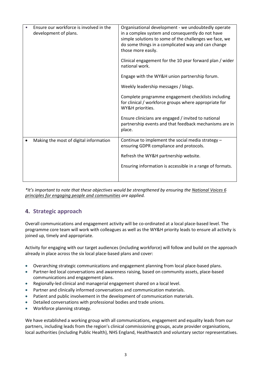| Ensure our workforce is involved in the<br>development of plans. | Organisational development - we undoubtedly operate<br>in a complex system and consequently do not have<br>simple solutions to some of the challenges we face, we<br>do some things in a complicated way and can change<br>those more easily.<br>Clinical engagement for the 10 year forward plan / wider |
|------------------------------------------------------------------|-----------------------------------------------------------------------------------------------------------------------------------------------------------------------------------------------------------------------------------------------------------------------------------------------------------|
|                                                                  | national work.                                                                                                                                                                                                                                                                                            |
|                                                                  | Engage with the WY&H union partnership forum.                                                                                                                                                                                                                                                             |
|                                                                  | Weekly leadership messages / blogs.                                                                                                                                                                                                                                                                       |
|                                                                  | Complete programme engagement checklists including<br>for clinical / workforce groups where appropriate for<br>WY&H priorities.                                                                                                                                                                           |
|                                                                  | Ensure clinicians are engaged / invited to national<br>partnership events and that feedback mechanisms are in<br>place.                                                                                                                                                                                   |
| Making the most of digital information                           | Continue to implement the social media strategy -<br>ensuring GDPR compliance and protocols.                                                                                                                                                                                                              |
|                                                                  | Refresh the WY&H partnership website.                                                                                                                                                                                                                                                                     |
|                                                                  | Ensuring information is accessible in a range of formats.                                                                                                                                                                                                                                                 |

*\*It's important to note that these objectives would be strengthened by ensuring the [National Voices 6](http://www.nationalvoices.org.uk/sites/default/files/public/publications/six_principles_-_definitions_evaluation_and_measurement_-_web_high_res_0.pdf)  [principles for engaging people and communities](http://www.nationalvoices.org.uk/sites/default/files/public/publications/six_principles_-_definitions_evaluation_and_measurement_-_web_high_res_0.pdf) are applied.* 

# **4. Strategic approach**

Overall communications and engagement activity will be co-ordinated at a local place-based level. The programme core team will work with colleagues as well as the WY&H priority leads to ensure all activity is joined up, timely and appropriate.

Activity for engaging with our target audiences (including workforce) will follow and build on the approach already in place across the six local place-based plans and cover:

- Overarching strategic communications and engagement planning from local place-based plans.
- Partner-led local conversations and awareness raising, based on community assets, place-based communications and engagement plans.
- Regionally-led clinical and managerial engagement shared on a local level.
- Partner and clinically informed conversations and communication materials.
- Patient and public involvement in the development of communication materials.
- Detailed conversations with professional bodies and trade unions.
- Workforce planning strategy.

We have established a working group with all communications, engagement and equality leads from our partners, including leads from the region's clinical commissioning groups, acute provider organisations, local authorities (including Public Health), NHS England, Healthwatch and voluntary sector representatives.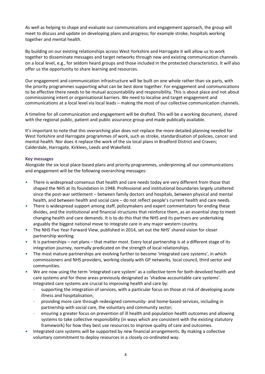As well as helping to shape and evaluate our communications and engagement approach, the group will meet to discuss and update on developing plans and progress; for example stroke, hospitals working together and mental health.

By building on our existing relationships across West Yorkshire and Harrogate it will allow us to work together to disseminate messages and target networks through new and existing communication channels on a local level, e.g., for seldom heard groups and those included in the protected characteristics. It will also offer us the opportunity to share learning and resources.

Our engagement and communication infrastructure will be built on one whole rather than six parts, with the priority programmes supporting what can be best done together. For engagement and communications to be effective there needs to be mutual accountability and responsibility. This is about place and not about commissioning intent or organisational barriers. We need to localise and target engagement and communications at a local level via local leads – making the most of our collective communication channels.

A timeline for all communication and engagement will be drafted. This will be a working document, shared with the regional public, patient and public assurance group and made publically available.

It's important to note that this overarching plan does not replace the more detailed planning needed for West Yorkshire and Harrogate programmes of work, such as stroke, standardisation of policies, cancer and mental health. Nor does it replace the work of the six local plans in Bradford District and Craven; Calderdale, Harrogate, Kirklees, Leeds and Wakefield.

## **Key messages**

Alongside the six local place-based plans and priority programmes, underpinning all our communications and engagement will be the following overarching messages:

- There is widespread consensus that health and care needs today are very different from those that shaped the NHS at its foundation in 1948. Professional and institutional boundaries largely unaltered since the post-war settlement – between family doctors and hospitals, between physical and mental health, and between health and social care – do not reflect people's current health and care needs.
- There is widespread support among staff, policymakers and expert commentators for ending these divides, and the institutional and financial structures that reinforce them, as an essential step to meet changing health and care demands. It is to do this that the NHS and its partners are undertaking arguably the biggest national move to integrate care in any major western country.
- The NHS Five Year Forward View, published in 2014, set out the NHS' shared vision for closer partnership working.
- It is partnerships not plans that matter most. Every local partnership is at a different stage of its integration journey, normally predicated on the strength of local relationships.
- The most mature partnerships are evolving further to become 'integrated care systems', in which commissioners and NHS providers, working closely with GP networks, local council, third sector and communities.
- We are now using the term 'integrated care system' as a collective term for both devolved health and care systems and for those areas previously designated as 'shadow accountable care systems'. Integrated care systems are crucial to improving health and care by:
	- supporting the integration of services, with a particular focus on those at risk of developing acute illness and hospitalisation;
	- providing more care through redesigned community- and home-based services, including in partnership with social care, the voluntary and community sector;
	- ensuring a greater focus on prevention of ill health and population health outcomes and allowing systems to take collective responsibility (in ways which are consistent with the existing statutory framework) for how they best use resources to improve quality of care and outcomes.
- Integrated care systems will be supported by new financial arrangements. By making a collective voluntary commitment to deploy resources in a closely co-ordinated way.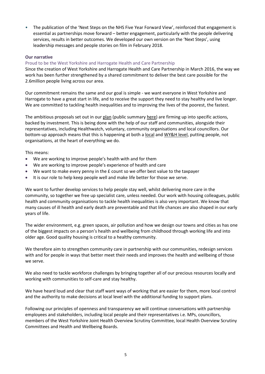• The publication of the 'Next Steps on the NHS Five Year Forward View', reinforced that engagement is essential as partnerships move forward – better engagement, particularly with the people delivering services, results in better outcomes. We developed our own version on the 'Next Steps', using leadership messages and people stories on film in February 2018.

## **Our narrative**

## Proud to be the West Yorkshire and Harrogate Health and Care Partnership

Since the creation of West Yorkshire and Harrogate Health and Care Partnership in March 2016, the way we work has been further strengthened by a shared commitment to deliver the best care possible for the 2.6million people living across our area.

Our commitment remains the same and our goal is simple - we want everyone in West Yorkshire and Harrogate to have a great start in life, and to receive the support they need to stay healthy and live longer. We are committed to tackling health inequalities and to improving the lives of the poorest, the fastest.

The ambitious proposals set out in our [plan](http://www.wyhpartnership.co.uk/application/files/7315/0184/5403/Final-draft-submission-plan.pdf) (public summary [here\)](http://www.wyhpartnership.co.uk/application/files/3315/0184/5442/STP-Public-Summary-2016-final-final-14-Nov.pdf) are firming up into specific actions, backed by investment. This is being done with the help of our staff and communities, alongside their representatives, including Healthwatch, voluntary, community organisations and local councillors. Our bottom-up approach means that this is happening at both a [local](http://www.wyhpartnership.co.uk/about/our-approach-working-together) an[d WY&H level,](http://www.wyhpartnership.co.uk/about/our-priorities) putting people, not organisations, at the heart of everything we do.

This means:

- We are working to improve people's health with and for them
- We are working to improve people's experience of health and care
- $\bullet$  We want to make every penny in the  $\epsilon$  count so we offer best value to the taxpayer
- It is our role to help keep people well and make life better for those we serve.

We want to further develop services to help people stay well, whilst delivering more care in the community, so together we free up specialist care, unless needed. Our work with housing colleagues, public health and community organisations to tackle health inequalities is also very important. We know that many causes of ill health and early death are preventable and that life chances are also shaped in our early years of life.

The wider environment, e.g. green spaces, air pollution and how we design our towns and cities as has one of the biggest impacts on a person's health and wellbeing from childhood through working life and into older age. Good quality housing is critical to a healthy community.

We therefore aim to strengthen community care in partnership with our communities, redesign services with and for people in ways that better meet their needs and improves the health and wellbeing of those we serve.

We also need to tackle workforce challenges by bringing together all of our precious resources locally and working with communities to self-care and stay healthy.

We have heard loud and clear that staff want ways of working that are easier for them, more local control and the authority to make decisions at local level with the additional funding to support plans.

Following our principles of openness and transparency we will continue conversations with partnership employees and stakeholders, including local people and their representatives i.e. MPs, councillors, members of the West Yorkshire Joint Health Overview Scrutiny Committee, local Health Overview Scrutiny Committees and Health and Wellbeing Boards.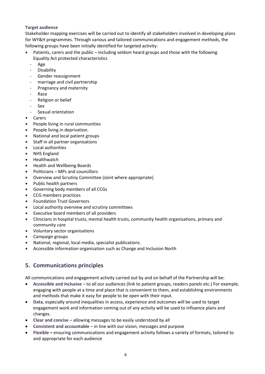## **Target audience**

Stakeholder mapping exercises will be carried out to identify all stakeholders involved in developing plans for WY&H programmes. Through various and tailored communications and engagement methods, the following groups have been initially identified for targeted activity:

- $\bullet$  Patients, carers and the public including seldom heard groups and those with the following Equality Act protected characteristics
	- Age
	- Disability
	- Gender reassignment
	- marriage and civil partnership
	- Pregnancy and maternity
	- **Race**
	- Religion or belief
	- Sex
	- Sexual orientation
- Carers
- People living in rural communities
- People living in deprivation.
- National and local patient groups
- Staff in all partner organisations
- Local authorities
- NHS England
- Healthwatch
- Health and Wellbeing Boards
- Politicians MPs and councillors
- Overview and Scrutiny Committee (Joint where appropriate)
- Public health partners
- Governing body members of all CCGs
- CCG members practices
- Foundation Trust Governors
- Local authority overview and scrutiny committees
- Executive board members of all providers
- Clinicians in hospital trusts, mental health trusts, community health organisations, primary and community care
- Voluntary sector organisations
- Campaign groups
- National, regional, local media, specialist publications.
- Accessible information organisation such as Change and Inclusion North

# **5. Communications principles**

All communications and engagement activity carried out by and on behalf of the Partnership will be:

- **Accessible and inclusive** to all our audiences (link to patient groups, readers panels etc.) For example, engaging with people at a time and place that is convenient to them, and establishing environments and methods that make it easy for people to be open with their input.
- **Data**, especially around inequalities in access, experience and outcomes will be used to target engagement work and information coming out of any activity will be used to influence plans and changes.
- **Clear and concise** allowing messages to be easily understood by all
- **Consistent and accountable** in line with our vision, messages and purpose
- **Flexible** ensuring communications and engagement activity follows a variety of formats, tailored to and appropriate for each audience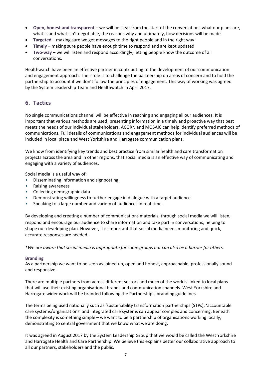- **Open, honest and transparent** we will be clear from the start of the conversations what our plans are, what is and what isn't negotiable, the reasons why and ultimately, how decisions will be made
- **Targeted** making sure we get messages to the right people and in the right way
- **Timely** making sure people have enough time to respond and are kept updated
- **Two-way** we will listen and respond accordingly, letting people know the outcome of all conversations.

Healthwatch have been an effective partner in contributing to the development of our communication and engagement approach. Their role is to challenge the partnership on areas of concern and to hold the partnership to account if we don't follow the principles of engagement. This way of working was agreed by the System Leadership Team and Healthwatch in April 2017.

# **6. Tactics**

No single communications channel will be effective in reaching and engaging all our audiences. It is important that various methods are used; presenting information in a timely and proactive way that best meets the needs of our individual stakeholders. ACORN and MOSAIC can help identify preferred methods of communications. Full details of communications and engagement methods for individual audiences will be included in local place and West Yorkshire and Harrogate communication plans.

We know from identifying key trends and best practice from similar health and care transformation projects across the area and in other regions, that social media is an effective way of communicating and engaging with a variety of audiences.

Social media is a useful way of:

- Disseminating information and signposting
- Raising awareness
- Collecting demographic data
- Demonstrating willingness to further engage in dialogue with a target audience
- Speaking to a large number and variety of audiences in real-time.

By developing and creating a number of communications materials, through social media we will listen, respond and encourage our audience to share information and take part in conversations; helping to shape our developing plan. However, it is important that social media needs monitoring and quick, accurate responses are needed.

\**We are aware that social media is appropriate for some groups but can also be a barrier for others.*

## **Branding**

As a partnership we want to be seen as joined up, open and honest, approachable, professionally sound and responsive.

There are multiple partners from across different sectors and much of the work is linked to local plans that will use their existing organisational brands and communication channels. West Yorkshire and Harrogate wider work will be branded following the Partnership's branding guidelines.

The terms being used nationally such as 'sustainability transformation partnerships (STPs); 'accountable care systems/organisations' and integrated care systems can appear complex and concerning. Beneath the complexity is something simple – we want to be a partnership of organisations working locally, demonstrating to central government that we know what we are doing.

It was agreed in August 2017 by the System Leadership Group that we would be called the West Yorkshire and Harrogate Health and Care Partnership. We believe this explains better our collaborative approach to all our partners, stakeholders and the public.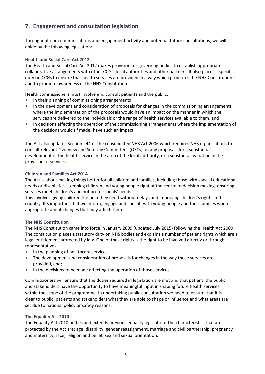# **7. Engagement and consultation legislation**

Throughout our communications and engagement activity and potential future consultations, we will abide by the following legislation:

## **Health and Social Care Act 2012**

The Health and Social Care Act 2012 makes provision for governing bodies to establish appropriate collaborative arrangements with other CCGs, local authorities and other partners. It also places a specific duty on CCGs to ensure that health services are provided in a way which promotes the NHS Constitution – and to promote awareness of the NHS Constitution.

Health commissioners must involve and consult patients and the public:

- In their planning of commissioning arrangements
- In the development and consideration of proposals for changes in the commissioning arrangements where the implementation of the proposals would have an impact on the manner in which the services are delivered to the individuals or the range of health services available to them, and
- In decisions affecting the operation of the commissioning arrangements where the implementation of the decisions would (if made) have such an impact.

The Act also updates Section 244 of the consolidated NHS Act 2006 which requires NHS organisations to consult relevant Overview and Scrutiny Committees (OSCs) on any proposals for a substantial development of the health service in the area of the local authority, or a substantial variation in the provision of services.

## **Children and Families Act 2014**

The Act is about making things better for all children and families, including those with special educational needs or disabilities – keeping children and young people right at the centre of decision making, ensuring services meet children's and not professionals' needs.

This involves giving children the help they need without delays and improving children's rights in this country. It's important that we inform, engage and consult with young people and their families where appropriate about changes that may affect them.

# **The NHS Constitution**

The NHS Constitution came into force in January 2009 (updated July 2015) following the Health Act 2009. The constitution places a statutory duty on NHS bodies and explains a number of patient rights which are a legal entitlement protected by law. One of these rights is the right to be involved directly or through representatives:

- In the planning of healthcare services
- The development and consideration of proposals for changes in the way those services are provided, and;
- In the decisions to be made affecting the operation of those services.

Commissioners will ensure that the duties required in legislation are met and that patient, the public and stakeholders have the opportunity to have meaningful input in shaping future health services within the scope of the programme. In undertaking public consultation we need to ensure that it is clear to public, patients and stakeholders what they are able to shape or influence and what areas are set due to national policy or safety reasons.

## **The Equality Act 2010**

The Equality Act 2010 unifies and extends previous equality legislation. The characteristics that are protected by the Act are: age, disability, gender reassignment, marriage and civil partnership, pregnancy and maternity, race, religion and belief, sex and sexual orientation.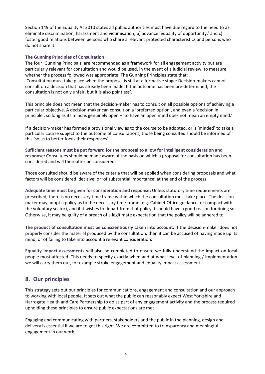Section 149 of the Equality At 2010 states all public authorities must have due regard to the need to a) eliminate discrimination, harassment and victimisation, b) advance 'equality of opportunity,' and c) foster good relations between persons who share a relevant protected characteristics and persons who do not share it.

## **The Gunning Principles of Consultation**

The four 'Gunning Principals' are recommended as a framework for all engagement activity but are particularly relevant for consultation and would be used, in the event of a judicial review, to measure whether the process followed was appropriate. The Gunning Principles state that: 'Consultation must take place when the proposal is still at a formative stage: Decision-makers cannot consult on a decision that has already been made. If the outcome has been pre-determined, the consultation is not only unfair, but it is also pointless'.

This principle does not mean that the decision-maker has to consult on all possible options of achieving a particular objective. A decision-maker can consult on a 'preferred option', and even a 'decision in principle', so long as its mind is genuinely open – 'to have an open mind does not mean an empty mind.'

If a decision-maker has formed a provisional view as to the course to be adopted, or is 'minded' to take a particular course subject to the outcome of consultations, those being consulted should be informed of this 'so as to better focus their responses'.

**Sufficient reasons must be put forward for the proposal to allow for intelligent consideration and response:** Consultees should be made aware of the basis on which a proposal for consultation has been considered and will thereafter be considered.

Those consulted should be aware of the criteria that will be applied when considering proposals and what factors will be considered 'decisive' or 'of substantial importance' at the end of the process.

**Adequate time must be given for consideration and response:** Unless statutory time requirements are prescribed, there is no necessary time frame within which the consultation must take place. The decisionmaker may adopt a policy as to the necessary time-frame (e.g. Cabinet Office guidance, or compact with the voluntary sector), and if it wishes to depart from that policy it should have a good reason for doing so. Otherwise, it may be guilty of a breach of a legitimate expectation that the policy will be adhered to.

**The product of consultation must be conscientiously taken into account:** If the decision-maker does not properly consider the material produced by the consultation, then it can be accused of having made up its mind; or of failing to take into account a relevant consideration.

**Equality impact assessments** will also be completed to ensure we fully understand the impact on local people most affected. This needs to specify exactly when and at what level of planning / implementation we will carry them out, for example stroke engagement and equality impact assessment.

# **8. Our principles**

This strategy sets out our principles for communications, engagement and consultation and our approach to working with local people. It sets out what the public can reasonably expect West Yorkshire and Harrogate Health and Care Partnership to do as part of any engagement activity and the process required upholding these principles to ensure public expectations are met.

Engaging and communicating with partners, stakeholders and the public in the planning, design and delivery is essential if we are to get this right. We are committed to transparency and meaningful engagement in our work.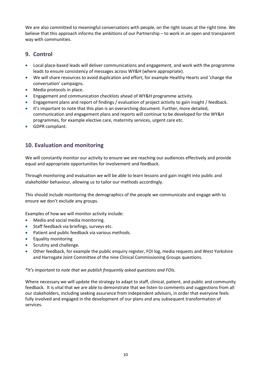We are also committed to meaningful conversations with people, on the right issues at the right time. We believe that this approach informs the ambitions of our Partnership – to work in an open and transparent way with communities.

# **9. Control**

- Local place-based leads will deliver communications and engagement, and work with the programme leads to ensure consistency of messages across WY&H (where appropriate).
- We will share resources to avoid duplication and effort, for example Healthy Hearts and 'change the conversation' campaigns.
- Media protocols in place.
- Engagement and communication checklists ahead of WY&H programme activity.
- Engagement plans and report of findings / evaluation of project activity to gain insight / feedback.
- It's important to note that this plan is an overarching document. Further, more detailed, communication and engagement plans and reports will continue to be developed for the WY&H programmes, for example elective care, maternity services, urgent care etc.
- GDPR compliant.

# **10. Evaluation and monitoring**

We will constantly monitor our activity to ensure we are reaching our audiences effectively and provide equal and appropriate opportunities for involvement and feedback.

Through monitoring and evaluation we will be able to learn lessons and gain insight into public and stakeholder behaviour, allowing us to tailor our methods accordingly.

This should include monitoring the demographics of the people we communicate and engage with to ensure we don't exclude any groups.

Examples of how we will monitor activity include:

- Media and social media monitoring.
- Staff feedback via briefings, surveys etc.
- Patient and public feedback via various methods.
- Equality monitoring
- Scrutiny and challenge.
- Other feedback, for example the public enquiry register, FOI log, media requests and West Yorkshire and Harrogate Joint Committee of the nine Clinical Commissioning Groups questions.

# *\*It's important to note that we publish frequently asked questions and FOIs.*

Where necessary we will update the strategy to adapt to staff, clinical, patient, and public and community feedback. It is vital that we are able to demonstrate that we listen to comments and suggestions from all our stakeholders, including seeking assurance from independent advisors, in order that everyone feels fully involved and engaged in the development of our plans and any subsequent transformation of services.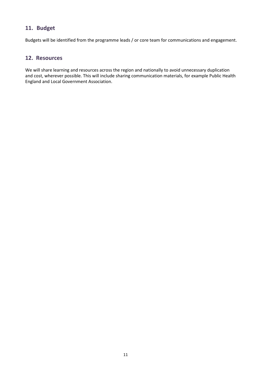# **11. Budget**

Budgets will be identified from the programme leads / or core team for communications and engagement.

# **12. Resources**

We will share learning and resources across the region and nationally to avoid unnecessary duplication and cost, wherever possible. This will include sharing communication materials, for example Public Health England and Local Government Association.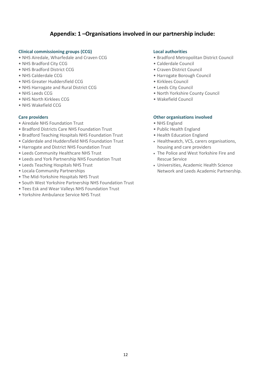# **Appendix: 1 –Organisations involved in our partnership include:**

## **Clinical commissioning groups (CCG)**

- NHS Airedale, Wharfedale and Craven CCG
- NHS Bradford City CCG
- NHS Bradford District CCG
- NHS Calderdale CCG
- NHS Greater Huddersfield CCG
- NHS Harrogate and Rural District CCG
- NHS Leeds CCG
- NHS North Kirklees CCG
- NHS Wakefield CCG

## **Care providers**

- Airedale NHS Foundation Trust
- Bradford Districts Care NHS Foundation Trust
- Bradford Teaching Hospitals NHS Foundation Trust
- Calderdale and Huddersfield NHS Foundation Trust
- Harrogate and District NHS Foundation Trust
- Leeds Community Healthcare NHS Trust
- Leeds and York Partnership NHS Foundation Trust
- Leeds Teaching Hospitals NHS Trust
- Locala Community Partnerships
- The Mid-Yorkshire Hospitals NHS Trust
- South West Yorkshire Partnership NHS Foundation Trust
- Tees Esk and Wear Valleys NHS Foundation Trust
- Yorkshire Ambulance Service NHS Trust

## **Local authorities**

- Bradford Metropolitan District Council
- Calderdale Council
- Craven District Council
- Harrogate Borough Council
- Kirklees Council
- Leeds City Council
- North Yorkshire County Council
- Wakefield Council

## **Other organisations involved**

- NHS England
- Public Health England
- Health Education England
- Healthwatch, VCS, carers organisations, housing and care providers
- The Police and West Yorkshire Fire and Rescue Service
- Universities, Academic Health Science Network and Leeds Academic Partnership.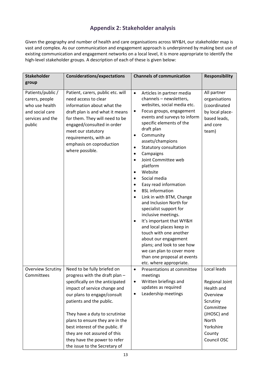# **Appendix 2: Stakeholder analysis**

Given the geography and number of health and care organisations across WY&H, our stakeholder map is vast and complex. As our communication and engagement approach is underpinned by making best use of existing communication and engagement networks on a local level, it is more appropriate to identify the high-level stakeholder groups. A description of each of these is given below:

| <b>Stakeholder</b>                                                                                     | <b>Considerations/expectations</b>                                                                                                                                                                                                                                                                                                                                                                   | <b>Channels of communication</b>                                                                                                                                                                                                                                                                                                                                                                                                                                                                                                                                                                                                                                                                                                                                                                                                                                                      | <b>Responsibility</b>                                                                                                                                 |
|--------------------------------------------------------------------------------------------------------|------------------------------------------------------------------------------------------------------------------------------------------------------------------------------------------------------------------------------------------------------------------------------------------------------------------------------------------------------------------------------------------------------|---------------------------------------------------------------------------------------------------------------------------------------------------------------------------------------------------------------------------------------------------------------------------------------------------------------------------------------------------------------------------------------------------------------------------------------------------------------------------------------------------------------------------------------------------------------------------------------------------------------------------------------------------------------------------------------------------------------------------------------------------------------------------------------------------------------------------------------------------------------------------------------|-------------------------------------------------------------------------------------------------------------------------------------------------------|
| group                                                                                                  |                                                                                                                                                                                                                                                                                                                                                                                                      |                                                                                                                                                                                                                                                                                                                                                                                                                                                                                                                                                                                                                                                                                                                                                                                                                                                                                       |                                                                                                                                                       |
| Patients/public /<br>carers, people<br>who use health<br>and social care<br>services and the<br>public | Patient, carers, public etc. will<br>need access to clear<br>information about what the<br>draft plan is and what it means<br>for them. They will need to be<br>engaged/consulted in order<br>meet our statutory<br>requirements, with an<br>emphasis on coproduction<br>where possible.                                                                                                             | Articles in partner media<br>$\bullet$<br>channels - newsletters,<br>websites, social media etc.<br>Focus groups, engagement<br>$\bullet$<br>events and surveys to inform<br>specific elements of the<br>draft plan<br>Community<br>$\bullet$<br>assets/champions<br>Statutory consultation<br>$\bullet$<br>Campaigns<br>$\bullet$<br>Joint Committee web<br>$\bullet$<br>platform<br>Website<br>$\bullet$<br>Social media<br>$\bullet$<br>Easy read information<br>$\bullet$<br><b>BSL</b> information<br>$\bullet$<br>Link in with BTM, Change<br>$\bullet$<br>and Inclusion North for<br>specialist support for<br>inclusive meetings.<br>It's important that WY&H<br>$\bullet$<br>and local places keep in<br>touch with one another<br>about our engagement<br>plans; and look to see how<br>we can plan to cover more<br>than one proposal at events<br>etc. where appropriate. | All partner<br>organisations<br>(coordinated<br>by local place-<br>based leads,<br>and core<br>team)                                                  |
| Overview Scrutiny<br>Committees                                                                        | Need to be fully briefed on<br>progress with the draft plan -<br>specifically on the anticipated<br>impact of service change and<br>our plans to engage/consult<br>patients and the public.<br>They have a duty to scrutinise<br>plans to ensure they are in the<br>best interest of the public. If<br>they are not assured of this<br>they have the power to refer<br>the issue to the Secretary of | Presentations at committee<br>meetings<br>Written briefings and<br>$\bullet$<br>updates as required<br>Leadership meetings<br>$\bullet$                                                                                                                                                                                                                                                                                                                                                                                                                                                                                                                                                                                                                                                                                                                                               | Local leads<br>Regional Joint<br>Health and<br>Overview<br>Scrutiny<br>Committee<br>(JHOSC) and<br><b>North</b><br>Yorkshire<br>County<br>Council OSC |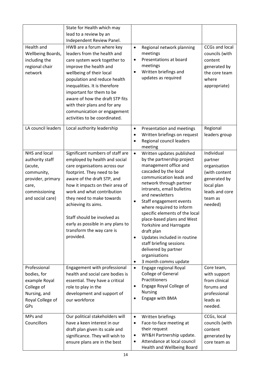| Health and<br>Wellbeing Boards,<br>including the<br>regional chair<br>network                                                | State for Health which may<br>lead to a review by an<br>Independent Review Panel.<br>HWB are a forum where key<br>leaders from the health and<br>care system work together to<br>improve the health and<br>wellbeing of their local<br>population and reduce health<br>inequalities. It is therefore<br>important for them to be<br>aware of how the draft STP fits<br>with their plans and for any<br>communication or engagement<br>activities to be coordinated. | <b>CCGs and local</b><br>Regional network planning<br>$\bullet$<br>meetings<br>councils (with<br>Presentations at board<br>$\bullet$<br>content<br>meetings<br>generated by<br>Written briefings and<br>$\bullet$<br>the core team<br>updates as required<br>where<br>appropriate)                                                                                                                                                                                                                                                                                                                                                                                                 |
|------------------------------------------------------------------------------------------------------------------------------|---------------------------------------------------------------------------------------------------------------------------------------------------------------------------------------------------------------------------------------------------------------------------------------------------------------------------------------------------------------------------------------------------------------------------------------------------------------------|------------------------------------------------------------------------------------------------------------------------------------------------------------------------------------------------------------------------------------------------------------------------------------------------------------------------------------------------------------------------------------------------------------------------------------------------------------------------------------------------------------------------------------------------------------------------------------------------------------------------------------------------------------------------------------|
| LA council leaders                                                                                                           | Local authority leadership                                                                                                                                                                                                                                                                                                                                                                                                                                          | Regional<br>Presentation and meetings<br>$\bullet$<br>leaders group<br>Written briefings on request<br>$\bullet$<br>Regional council leaders<br>meeting                                                                                                                                                                                                                                                                                                                                                                                                                                                                                                                            |
| NHS and local<br>authority staff<br>(acute,<br>community,<br>provider, primary<br>care,<br>commissioning<br>and social care) | Significant numbers of staff are<br>employed by health and social<br>care organisations across our<br>footprint. They need to be<br>aware of the draft STP, and<br>how it impacts on their area of<br>work and what contribution<br>they need to make towards<br>achieving its aims.<br>Staff should be involved as<br>early as possible in any plans to<br>transform the way care is<br>provided.                                                                  | Individual<br>Written updates published<br>$\bullet$<br>by the partnership project<br>partner<br>management office and<br>organisation<br>cascaded by the local<br>(with content<br>communication leads and<br>generated by<br>network through partner<br>local plan<br>intranets, email bulletins<br>leads and core<br>and newsletters<br>team as<br>Staff engagement events<br>needed)<br>where required to inform<br>specific elements of the local<br>place-based plans and West<br>Yorkshire and Harrogate<br>draft plan<br>Updates included in routine<br>$\bullet$<br>staff briefing sessions<br>delivered by partner<br>organisations<br>3 month comms update<br>$\bullet$ |
| Professional<br>bodies, for<br>example Royal<br>College of<br>Nursing, and<br>Royal College of<br>GPs                        | Engagement with professional<br>health and social care bodies is<br>essential. They have a critical<br>role to play in the<br>development and support of<br>our workforce                                                                                                                                                                                                                                                                                           | Core team,<br>Engage regional Royal<br>$\bullet$<br>College of General<br>with support<br>Practitioners<br>from clinical<br>Engage Royal College of<br>$\bullet$<br>forums and<br><b>Nursing</b><br>professional<br>Engage with BMA<br>٠<br>leads as<br>needed.                                                                                                                                                                                                                                                                                                                                                                                                                    |
| MPs and<br>Councillors                                                                                                       | Our political stakeholders will<br>have a keen interest in our<br>draft plan given its scale and<br>significance. They will wish to<br>ensure plans are in the best                                                                                                                                                                                                                                                                                                 | CCGs, local<br>Written briefings<br>$\bullet$<br>Face-to-face meeting at<br>councils (with<br>$\bullet$<br>their request<br>content<br>WY&H Partnership update.<br>generated by<br>٠<br>Attendance at local council<br>٠<br>core team as<br>Health and Wellbeing Board                                                                                                                                                                                                                                                                                                                                                                                                             |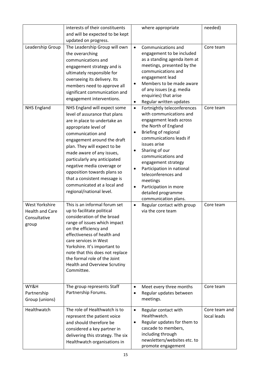|                                                                          | interests of their constituents<br>and will be expected to be kept<br>updated on progress.                                                                                                                                                                                                                                                                                                                    | where appropriate                                                                                                                                                                                                                                                                                                                                                                                                                                                         | needed)                      |
|--------------------------------------------------------------------------|---------------------------------------------------------------------------------------------------------------------------------------------------------------------------------------------------------------------------------------------------------------------------------------------------------------------------------------------------------------------------------------------------------------|---------------------------------------------------------------------------------------------------------------------------------------------------------------------------------------------------------------------------------------------------------------------------------------------------------------------------------------------------------------------------------------------------------------------------------------------------------------------------|------------------------------|
| Leadership Group<br><b>NHS England</b>                                   | The Leadership Group will own<br>the overarching<br>communications and<br>engagement strategy and is<br>ultimately responsible for<br>overseeing its delivery. Its<br>members need to approve all<br>significant communication and<br>engagement interventions.<br>NHS England will expect some<br>level of assurance that plans<br>are in place to undertake an<br>appropriate level of<br>communication and | Communications and<br>$\bullet$<br>engagement to be included<br>as a standing agenda item at<br>meetings, presented by the<br>communications and<br>engagement lead<br>Members to be made aware<br>$\bullet$<br>of any issues (e.g. media<br>enquiries) that arise<br>Regular written updates<br>$\bullet$<br>Fortnightly teleconferences<br>$\bullet$<br>with communications and<br>engagement leads across<br>the North of England<br>Briefing of regional<br>$\bullet$ | Core team<br>Core team       |
|                                                                          | engagement around the draft<br>plan. They will expect to be<br>made aware of any issues,<br>particularly any anticipated<br>negative media coverage or<br>opposition towards plans so<br>that a consistent message is<br>communicated at a local and<br>regional/national level.                                                                                                                              | communications leads if<br>issues arise<br>Sharing of our<br>$\bullet$<br>communications and<br>engagement strategy<br>Participation in national<br>$\bullet$<br>teleconferences and<br>meetings<br>Participation in more<br>$\bullet$<br>detailed programme<br>communication plans.                                                                                                                                                                                      |                              |
| <b>West Yorkshire</b><br><b>Health and Care</b><br>Consultative<br>group | This is an informal forum set<br>up to facilitate political<br>consideration of the broad<br>range of issues which impact<br>on the efficiency and<br>effectiveness of health and<br>care services in West<br>Yorkshire. It's important to<br>note that this does not replace<br>the formal role of the Joint<br><b>Health and Overview Scrutiny</b><br>Committee.                                            | Regular contact with group<br>$\bullet$<br>via the core team                                                                                                                                                                                                                                                                                                                                                                                                              | Core team                    |
| WY&H<br>Partnership<br>Group (unions)                                    | The group represents Staff<br>Partnership Forums.                                                                                                                                                                                                                                                                                                                                                             | Meet every three months<br>$\bullet$<br>Regular updates between<br>$\bullet$<br>meetings.                                                                                                                                                                                                                                                                                                                                                                                 | Core team                    |
| Healthwatch                                                              | The role of Healthwatch is to<br>represent the patient voice<br>and should therefore be<br>considered a key partner in<br>delivering this strategy. The six<br>Healthwatch organisations in                                                                                                                                                                                                                   | Regular contact with<br>$\bullet$<br>Healthwatch.<br>Regular updates for them to<br>$\bullet$<br>cascade to members,<br>including through<br>newsletters/websites etc. to<br>promote engagement                                                                                                                                                                                                                                                                           | Core team and<br>local leads |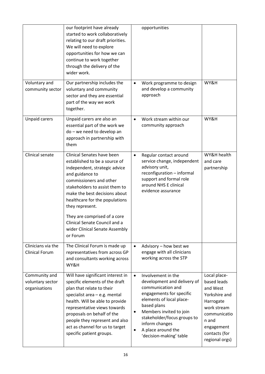|                                                    | our footprint have already<br>started to work collaboratively<br>relating to our draft priorities.<br>We will need to explore<br>opportunities for how we can<br>continue to work together<br>through the delivery of the<br>wider work.                                                                                                                                          | opportunities                                                                                                                                                                                                                                                                                                                                                                                                                                                  |
|----------------------------------------------------|-----------------------------------------------------------------------------------------------------------------------------------------------------------------------------------------------------------------------------------------------------------------------------------------------------------------------------------------------------------------------------------|----------------------------------------------------------------------------------------------------------------------------------------------------------------------------------------------------------------------------------------------------------------------------------------------------------------------------------------------------------------------------------------------------------------------------------------------------------------|
| Voluntary and<br>community sector                  | Our partnership includes the<br>voluntary and community<br>sector and they are essential<br>part of the way we work<br>together.                                                                                                                                                                                                                                                  | WY&H<br>Work programme to design<br>$\bullet$<br>and develop a community<br>approach                                                                                                                                                                                                                                                                                                                                                                           |
| <b>Unpaid carers</b>                               | Unpaid carers are also an<br>essential part of the work we<br>do - we need to develop an<br>approach in partnership with<br>them                                                                                                                                                                                                                                                  | WY&H<br>Work stream within our<br>$\bullet$<br>community approach                                                                                                                                                                                                                                                                                                                                                                                              |
| Clinical senate                                    | Clinical Senates have been<br>established to be a source of<br>independent, strategic advice<br>and guidance to<br>commissioners and other<br>stakeholders to assist them to<br>make the best decisions about<br>healthcare for the populations<br>they represent.<br>They are comprised of a core<br>Clinical Senate Council and a<br>wider Clinical Senate Assembly<br>or Forum | WY&H health<br>Regular contact around<br>$\bullet$<br>service change, independent<br>and care<br>advisory unit,<br>partnership<br>reconfiguration - informal<br>support and formal role<br>around NHS E clinical<br>evidence assurance                                                                                                                                                                                                                         |
| Clinicians via the<br><b>Clinical Forum</b>        | The Clinical Forum is made up<br>representatives from across GP<br>and consultants working across<br>WY&H                                                                                                                                                                                                                                                                         | Advisory - how best we<br>$\bullet$<br>engage with all clinicians<br>working across the STP                                                                                                                                                                                                                                                                                                                                                                    |
| Community and<br>voluntary sector<br>organisations | Will have significant interest in<br>specific elements of the draft<br>plan that relate to their<br>specialist area $-$ e.g. mental<br>health. Will be able to provide<br>representative views towards<br>proposals on behalf of the<br>people they represent and also<br>act as channel for us to target<br>specific patient groups.                                             | Local place-<br>Involvement in the<br>$\bullet$<br>development and delivery of<br>based leads<br>communication and<br>and West<br>engagements for specific<br>Yorkshire and<br>elements of local place-<br>Harrogate<br>based plans<br>work stream<br>Members invited to join<br>٠<br>communicatio<br>stakeholder/focus groups to<br>n and<br>inform changes<br>engagement<br>A place around the<br>contacts (for<br>'decision-making' table<br>regional orgs) |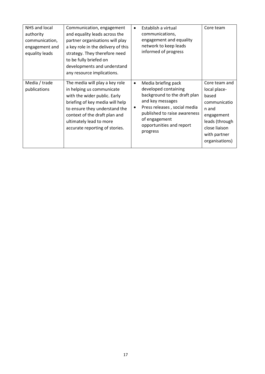| NHS and local<br>authority<br>communication,<br>engagement and<br>equality leads | Communication, engagement<br>and equality leads across the<br>partner organisations will play<br>a key role in the delivery of this<br>strategy. They therefore need<br>to be fully briefed on<br>developments and understand<br>any resource implications.   | Establish a virtual<br>$\bullet$<br>communications,<br>engagement and equality<br>network to keep leads<br>informed of progress                                                                                                            | Core team                                                                                                                                          |
|----------------------------------------------------------------------------------|---------------------------------------------------------------------------------------------------------------------------------------------------------------------------------------------------------------------------------------------------------------|--------------------------------------------------------------------------------------------------------------------------------------------------------------------------------------------------------------------------------------------|----------------------------------------------------------------------------------------------------------------------------------------------------|
| Media / trade<br>publications                                                    | The media will play a key role<br>in helping us communicate<br>with the wider public. Early<br>briefing of key media will help<br>to ensure they understand the<br>context of the draft plan and<br>ultimately lead to more<br>accurate reporting of stories. | Media briefing pack<br>$\bullet$<br>developed containing<br>background to the draft plan<br>and key messages<br>Press releases, social media<br>٠<br>published to raise awareness<br>of engagement<br>opportunities and report<br>progress | Core team and<br>local place-<br>based<br>communicatio<br>n and<br>engagement<br>leads (through<br>close liaison<br>with partner<br>organisations) |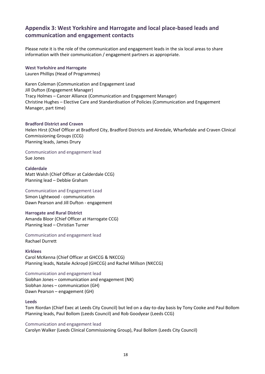# **Appendix 3: West Yorkshire and Harrogate and local place-based leads and communication and engagement contacts**

Please note it is the role of the communication and engagement leads in the six local areas to share information with their communication / engagement partners as appropriate.

# **West Yorkshire and Harrogate**

Lauren Phillips (Head of Programmes)

Karen Coleman (Communication and Engagement Lead Jill Dufton (Engagement Manager) Tracy Holmes – Cancer Alliance (Communication and Engagement Manager) Christine Hughes – Elective Care and Standardisation of Policies (Communication and Engagement Manager, part time)

## **Bradford District and Craven**

Helen Hirst (Chief Officer at Bradford City, Bradford Districts and Airedale, Wharfedale and Craven Clinical Commissioning Groups (CCG) Planning leads, James Drury

#### Communication and engagement lead Sue Jones

## **Calderdale**

Matt Walsh (Chief Officer at Calderdale CCG) Planning lead – Debbie Graham

Communication and Engagement Lead Simon Lightwood - communication Dawn Pearson and Jill Dufton - engagement

## **Harrogate and Rural District** Amanda Bloor (Chief Officer at Harrogate CCG) Planning lead – Christian Turner

Communication and engagement lead Rachael Durrett

## **Kirklees**

Carol McKenna (Chief Officer at GHCCG & NKCCG) Planning leads, Natalie Ackroyd (GHCCG) and Rachel Millson (NKCCG)

Communication and engagement lead Siobhan Jones – communication and engagement (NK) Siobhan Jones – communication (GH) Dawn Pearson – engagement (GH)

## **Leeds**

Tom Riordan (Chief Exec at Leeds City Council) but led on a day-to-day basis by Tony Cooke and Paul Bollom Planning leads, Paul Bollom (Leeds Council) and Rob Goodyear (Leeds CCG)

## Communication and engagement lead

Carolyn Walker (Leeds Clinical Commissioning Group), Paul Bollom (Leeds City Council)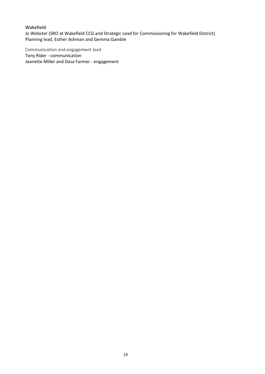## **Wakefield**

Jo Webster (SRO at Wakefield CCG and Strategic Lead for Commissioning for Wakefield District) Planning lead, Esther Ashman and Gemma Gamble

Communication and engagement lead

Tony Rider - communication Jeanette Miller and Dasa Farmer - engagement